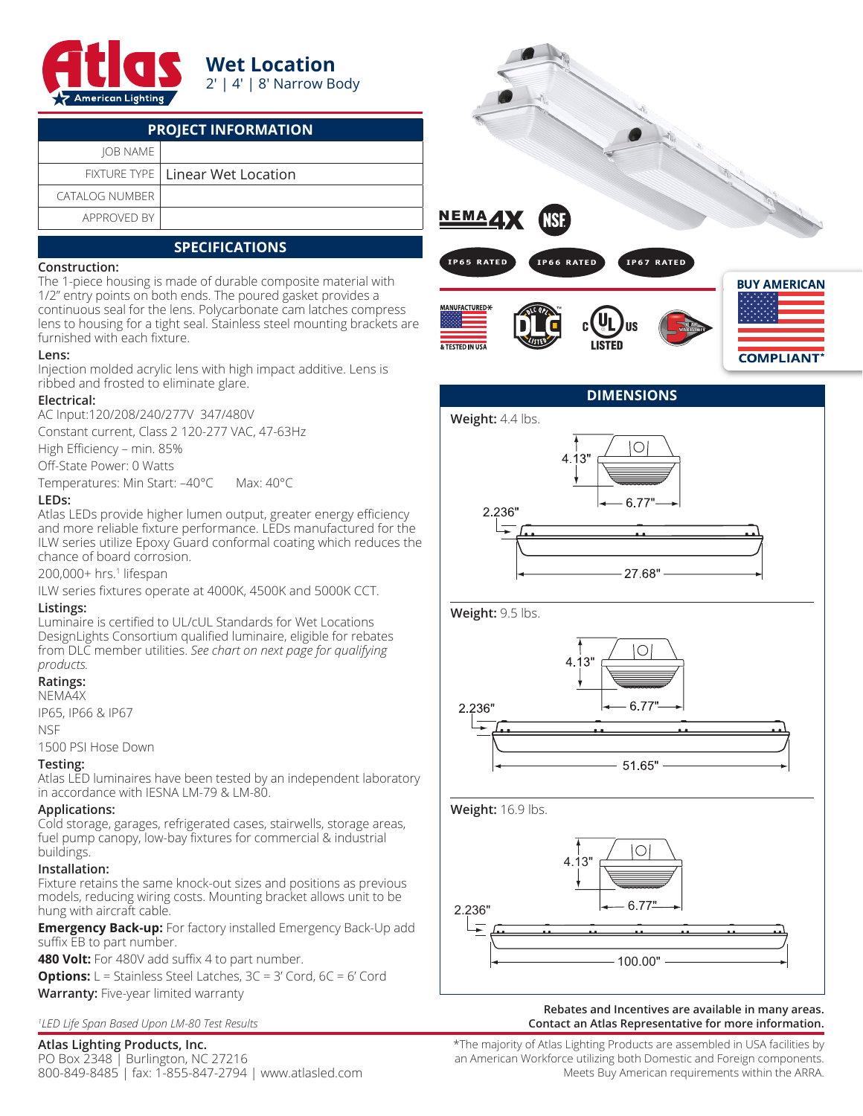

## **Wet Location** 2′ | 4′ | 8′ Narrow Body

| <b>PROJECT INFORMATION</b> |                                    |  |  |  |
|----------------------------|------------------------------------|--|--|--|
| IOB NAME                   |                                    |  |  |  |
|                            | FIXTURE TYPE   Linear Wet Location |  |  |  |
| CATAI OG NUMBER            |                                    |  |  |  |
| APPROVED BY                |                                    |  |  |  |

# **SPECIFICATIONS**

#### **Construction:**

The 1-piece housing is made of durable composite material with 1/2" entry points on both ends. The poured gasket provides a continuous seal for the lens. Polycarbonate cam latches compress lens to housing for a tight seal. Stainless steel mounting brackets are furnished with each fixture.

#### **Lens:**

Injection molded acrylic lens with high impact additive. Lens is ribbed and frosted to eliminate glare.

#### **Electrical:**

AC Input:120/208/240/277V 347/480V

Constant current, Class 2 120-277 VAC, 47-63Hz

High Efficiency – min. 85%

Off-State Power: 0 Watts

Temperatures: Min Start: –40°C Max: 40°C

#### **LEDs:**

Atlas LEDs provide higher lumen output, greater energy efficiency and more reliable fixture performance. LEDs manufactured for the ILW series utilize Epoxy Guard conformal coating which reduces the chance of board corrosion.

200,000+ hrs.<sup>1</sup> lifespan

ILW series fixtures operate at 4000K, 4500K and 5000K CCT.

## **Listings:**

Luminaire is certified to UL/cUL Standards for Wet Locations DesignLights Consortium qualified luminaire, eligible for rebates from DLC member utilities. *See chart on next page for qualifying products.*

## **Ratings:**

NEMA4X IP65, IP66 & IP67

NSF

1500 PSI Hose Down

## **Testing:**

Atlas LED luminaires have been tested by an independent laboratory in accordance with IESNA LM-79 & LM-80.

## **Applications:**

Cold storage, garages, refrigerated cases, stairwells, storage areas, fuel pump canopy, low-bay fixtures for commercial & industrial buildings.

## **Installation:**

Fixture retains the same knock-out sizes and positions as previous models, reducing wiring costs. Mounting bracket allows unit to be hung with aircraft cable.

**Emergency Back-up:** For factory installed Emergency Back-Up add suffix EB to part number.

**480 Volt:** For 480V add suffix 4 to part number.

**Options:** L = Stainless Steel Latches, 3C = 3' Cord, 6C = 6' Cord **Warranty:** Five-year limited warranty

*1 LED Life Span Based Upon LM-80 Test Results*

## **Atlas Lighting Products, Inc.**

PO Box 2348 | Burlington, NC 27216 800-849-8485 | fax: 1-855-847-2794 | www.atlasled.com







#### **Rebates and Incentives are available in many areas. Contact an Atlas Representative for more information.**

\*The majority of Atlas Lighting Products are assembled in USA facilities by an American Workforce utilizing both Domestic and Foreign components. Meets Buy American requirements within the ARRA.